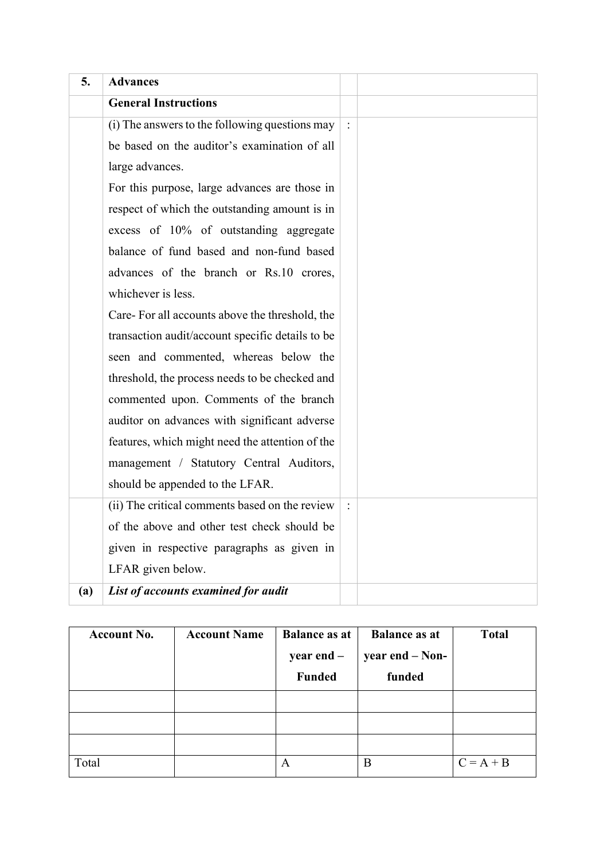| 5.  | <b>Advances</b>                                  |  |
|-----|--------------------------------------------------|--|
|     | <b>General Instructions</b>                      |  |
|     | (i) The answers to the following questions may   |  |
|     | be based on the auditor's examination of all     |  |
|     | large advances.                                  |  |
|     | For this purpose, large advances are those in    |  |
|     | respect of which the outstanding amount is in    |  |
|     | excess of 10% of outstanding aggregate           |  |
|     | balance of fund based and non-fund based         |  |
|     | advances of the branch or Rs.10 crores,          |  |
|     | whichever is less.                               |  |
|     | Care-For all accounts above the threshold, the   |  |
|     | transaction audit/account specific details to be |  |
|     | seen and commented, whereas below the            |  |
|     | threshold, the process needs to be checked and   |  |
|     | commented upon. Comments of the branch           |  |
|     | auditor on advances with significant adverse     |  |
|     | features, which might need the attention of the  |  |
|     | management / Statutory Central Auditors,         |  |
|     | should be appended to the LFAR.                  |  |
|     | (ii) The critical comments based on the review   |  |
|     | of the above and other test check should be      |  |
|     | given in respective paragraphs as given in       |  |
|     | LFAR given below.                                |  |
| (a) | List of accounts examined for audit              |  |

| <b>Account No.</b> | <b>Account Name</b> | <b>Balance as at</b><br>year end -<br><b>Funded</b> | <b>Balance as at</b><br>year end – Non-<br>funded | <b>Total</b> |
|--------------------|---------------------|-----------------------------------------------------|---------------------------------------------------|--------------|
|                    |                     |                                                     |                                                   |              |
|                    |                     |                                                     |                                                   |              |
|                    |                     |                                                     |                                                   |              |
| Total              |                     | А                                                   | B                                                 | $C = A + B$  |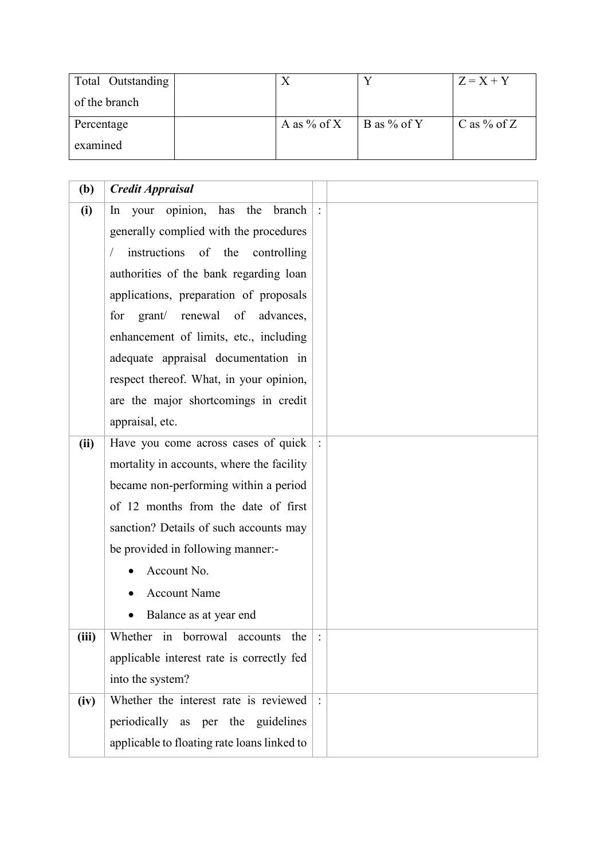| Total Outstanding |             |               | $Z = X + Y$   |
|-------------------|-------------|---------------|---------------|
| of the branch     |             |               |               |
| Percentage        | A as % of X | B as $%$ of Y | C as $%$ of Z |
| examined          |             |               |               |

| (b)   | <b>Credit Appraisal</b>                     |  |
|-------|---------------------------------------------|--|
| (i)   | opinion, has the<br>your<br>branch<br>In    |  |
|       | generally complied with the procedures      |  |
|       | instructions of the controlling             |  |
|       | authorities of the bank regarding loan      |  |
|       | applications, preparation of proposals      |  |
|       | renewal of<br>for grant/<br>advances,       |  |
|       | enhancement of limits, etc., including      |  |
|       | adequate appraisal documentation in         |  |
|       | respect thereof. What, in your opinion,     |  |
|       | are the major shortcomings in credit        |  |
|       | appraisal, etc.                             |  |
| (ii)  | Have you come across cases of quick         |  |
|       | mortality in accounts, where the facility   |  |
|       | became non-performing within a period       |  |
|       | of 12 months from the date of first         |  |
|       | sanction? Details of such accounts may      |  |
|       | be provided in following manner:-           |  |
|       | Account No.                                 |  |
|       | <b>Account Name</b>                         |  |
|       | Balance as at year end                      |  |
| (iii) | Whether in borrowal accounts the            |  |
|       | applicable interest rate is correctly fed   |  |
|       | into the system?                            |  |
| (iv)  | Whether the interest rate is reviewed       |  |
|       | periodically as per the guidelines          |  |
|       | applicable to floating rate loans linked to |  |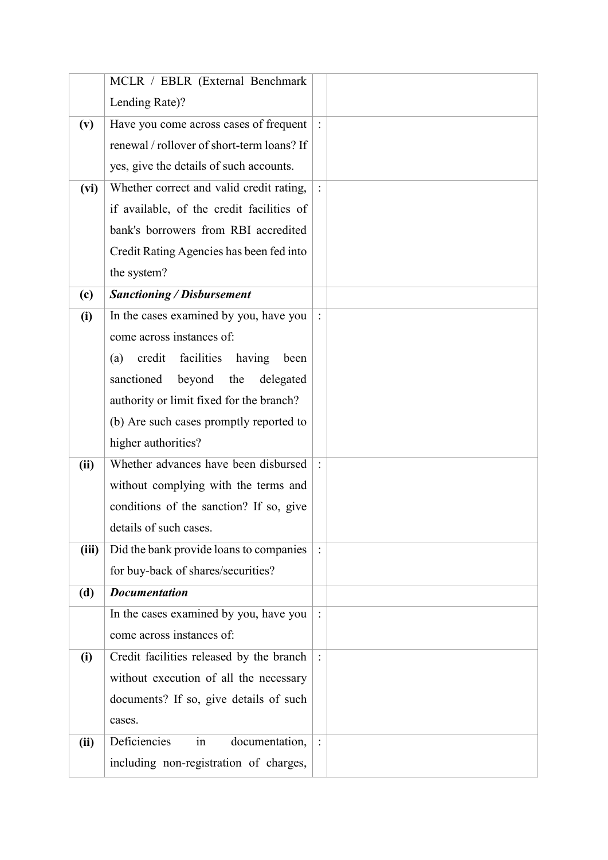|       | MCLR / EBLR (External Benchmark            |                |  |
|-------|--------------------------------------------|----------------|--|
|       | Lending Rate)?                             |                |  |
| (v)   | Have you come across cases of frequent     |                |  |
|       | renewal / rollover of short-term loans? If |                |  |
|       | yes, give the details of such accounts.    |                |  |
| (vi)  | Whether correct and valid credit rating,   |                |  |
|       | if available, of the credit facilities of  |                |  |
|       | bank's borrowers from RBI accredited       |                |  |
|       | Credit Rating Agencies has been fed into   |                |  |
|       | the system?                                |                |  |
| (c)   | <b>Sanctioning / Disbursement</b>          |                |  |
| (i)   | In the cases examined by you, have you     |                |  |
|       | come across instances of:                  |                |  |
|       | credit facilities having<br>been<br>(a)    |                |  |
|       | sanctioned<br>beyond the<br>delegated      |                |  |
|       | authority or limit fixed for the branch?   |                |  |
|       | (b) Are such cases promptly reported to    |                |  |
|       | higher authorities?                        |                |  |
| (ii)  | Whether advances have been disbursed       |                |  |
|       | without complying with the terms and       |                |  |
|       | conditions of the sanction? If so, give    |                |  |
|       | details of such cases.                     |                |  |
| (iii) | Did the bank provide loans to companies    |                |  |
|       | for buy-back of shares/securities?         |                |  |
| (d)   | <b>Documentation</b>                       |                |  |
|       | In the cases examined by you, have you     | $\ddot{\cdot}$ |  |
|       | come across instances of:                  |                |  |
| (i)   | Credit facilities released by the branch   |                |  |
|       | without execution of all the necessary     |                |  |
|       | documents? If so, give details of such     |                |  |
|       | cases.                                     |                |  |
| (ii)  | Deficiencies<br>documentation,<br>in       |                |  |
|       | including non-registration of charges,     |                |  |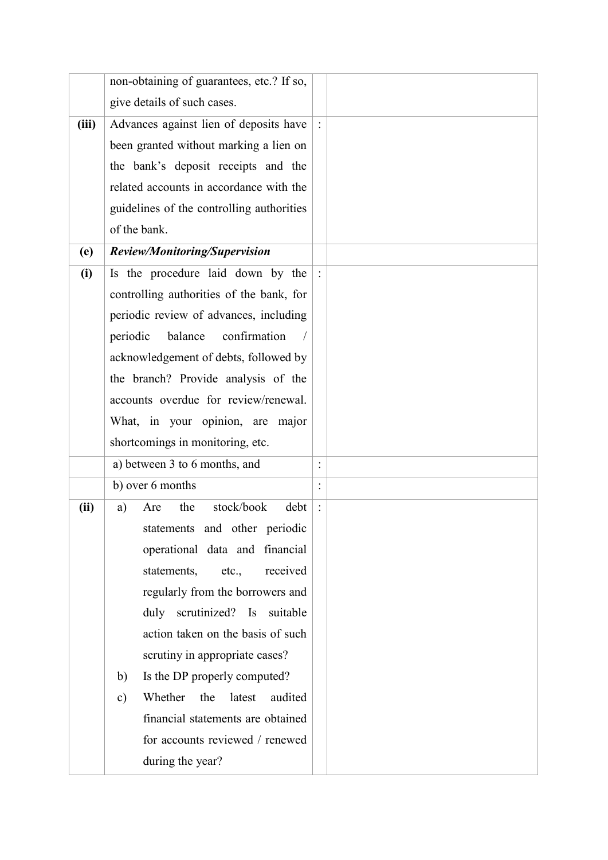|       | non-obtaining of guarantees, etc.? If so,            |                |  |
|-------|------------------------------------------------------|----------------|--|
|       | give details of such cases.                          |                |  |
| (iii) | Advances against lien of deposits have               | $\ddot{\cdot}$ |  |
|       | been granted without marking a lien on               |                |  |
|       | the bank's deposit receipts and the                  |                |  |
|       | related accounts in accordance with the              |                |  |
|       | guidelines of the controlling authorities            |                |  |
|       | of the bank.                                         |                |  |
| (e)   | Review/Monitoring/Supervision                        |                |  |
| (i)   | Is the procedure laid down by the                    |                |  |
|       | controlling authorities of the bank, for             |                |  |
|       | periodic review of advances, including               |                |  |
|       | balance<br>confirmation<br>periodic                  |                |  |
|       | acknowledgement of debts, followed by                |                |  |
|       | the branch? Provide analysis of the                  |                |  |
|       | accounts overdue for review/renewal.                 |                |  |
|       | What, in your opinion, are major                     |                |  |
|       | shortcomings in monitoring, etc.                     |                |  |
|       | a) between 3 to 6 months, and                        |                |  |
|       | b) over 6 months                                     | $\ddot{\cdot}$ |  |
| (ii)  | stock/book<br>the<br>debt<br>a)<br>Are               |                |  |
|       | statements and other periodic                        |                |  |
|       | operational data and financial                       |                |  |
|       | received<br>statements,<br>etc.,                     |                |  |
|       | regularly from the borrowers and                     |                |  |
|       | duly scrutinized? Is suitable                        |                |  |
|       | action taken on the basis of such                    |                |  |
|       | scrutiny in appropriate cases?                       |                |  |
|       | Is the DP properly computed?<br>b)                   |                |  |
|       | audited<br>Whether<br>the<br>latest<br>$\mathbf{c})$ |                |  |
|       | financial statements are obtained                    |                |  |
|       | for accounts reviewed / renewed                      |                |  |
|       | during the year?                                     |                |  |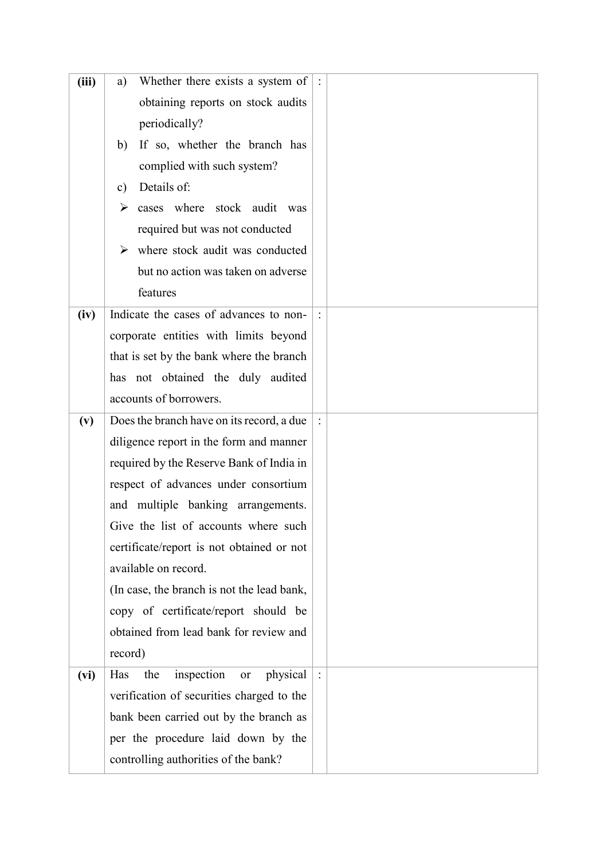| (iii) | Whether there exists a system of $\vert$ :<br>a) |  |
|-------|--------------------------------------------------|--|
|       | obtaining reports on stock audits                |  |
|       | periodically?                                    |  |
|       | If so, whether the branch has<br>b)              |  |
|       | complied with such system?                       |  |
|       | Details of:<br>c)                                |  |
|       | cases where stock audit was<br>➤                 |  |
|       | required but was not conducted                   |  |
|       | $\triangleright$ where stock audit was conducted |  |
|       | but no action was taken on adverse               |  |
|       | features                                         |  |
| (iv)  | Indicate the cases of advances to non-           |  |
|       | corporate entities with limits beyond            |  |
|       | that is set by the bank where the branch         |  |
|       | has not obtained the duly audited                |  |
|       | accounts of borrowers.                           |  |
| (v)   | Does the branch have on its record, a due        |  |
|       | diligence report in the form and manner          |  |
|       | required by the Reserve Bank of India in         |  |
|       | respect of advances under consortium             |  |
|       | and multiple banking arrangements.               |  |
|       | Give the list of accounts where such             |  |
|       | certificate/report is not obtained or not        |  |
|       | available on record.                             |  |
|       | (In case, the branch is not the lead bank,       |  |
|       | copy of certificate/report should be             |  |
|       | obtained from lead bank for review and           |  |
|       | record)                                          |  |
| (vi)  | inspection<br>physical<br>Has<br>the<br>or       |  |
|       | verification of securities charged to the        |  |
|       | bank been carried out by the branch as           |  |
|       | per the procedure laid down by the               |  |
|       | controlling authorities of the bank?             |  |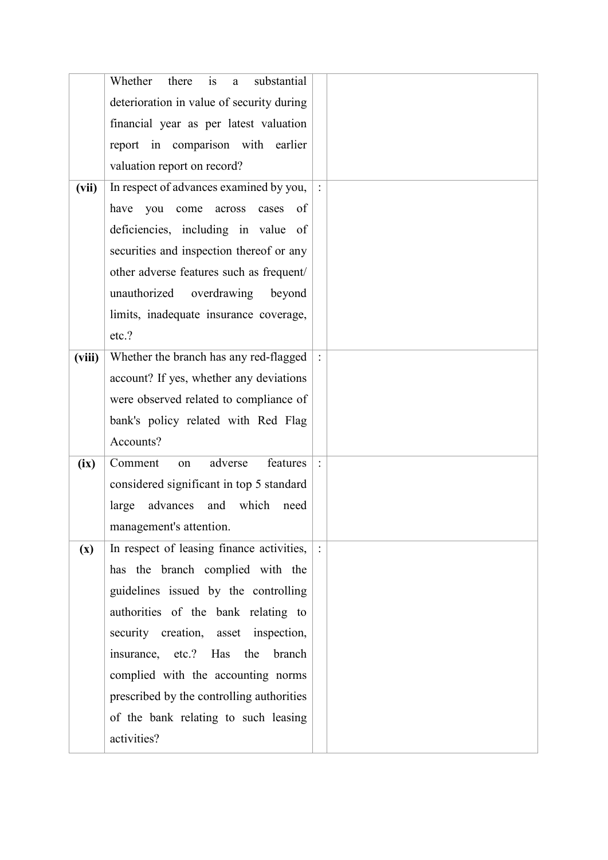|                | Whether<br>is<br>substantial<br>there<br>a   |  |
|----------------|----------------------------------------------|--|
|                | deterioration in value of security during    |  |
|                | financial year as per latest valuation       |  |
|                | report in comparison with earlier            |  |
|                | valuation report on record?                  |  |
| (vii)          | In respect of advances examined by you,      |  |
|                | have<br>you<br>come<br>across<br>cases<br>of |  |
|                | deficiencies, including in value of          |  |
|                | securities and inspection thereof or any     |  |
|                | other adverse features such as frequent/     |  |
|                | unauthorized<br>overdrawing<br>beyond        |  |
|                | limits, inadequate insurance coverage,       |  |
|                | etc.?                                        |  |
| (viii)         | Whether the branch has any red-flagged       |  |
|                | account? If yes, whether any deviations      |  |
|                | were observed related to compliance of       |  |
|                | bank's policy related with Red Flag          |  |
|                | Accounts?                                    |  |
| (ix)           | Comment<br>adverse<br>features<br>on         |  |
|                | considered significant in top 5 standard     |  |
|                | advances and which<br>large<br>need          |  |
|                | management's attention.                      |  |
| $(\mathbf{x})$ | In respect of leasing finance activities,    |  |
|                | has the branch complied with the             |  |
|                | guidelines issued by the controlling         |  |
|                | authorities of the bank relating to          |  |
|                | security creation, asset inspection,         |  |
|                | insurance, etc.? Has<br>the<br>branch        |  |
|                | complied with the accounting norms           |  |
|                | prescribed by the controlling authorities    |  |
|                | of the bank relating to such leasing         |  |
|                | activities?                                  |  |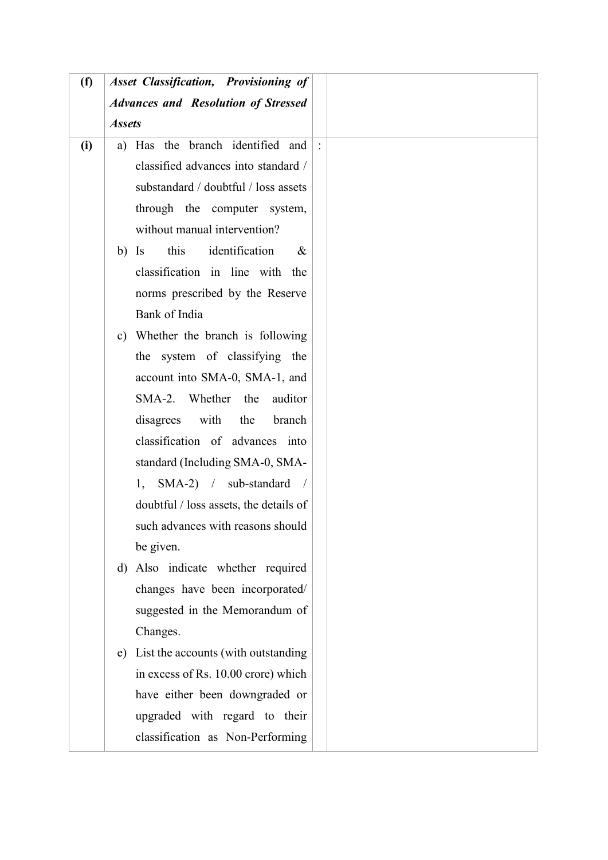| (f) | <b>Asset Classification, Provisioning of</b>   |      |
|-----|------------------------------------------------|------|
|     | <b>Advances and Resolution of Stressed</b>     |      |
|     | <b>Assets</b>                                  |      |
| (i) | a) Has the branch identified and               |      |
|     | classified advances into standard /            |      |
|     | substandard / doubtful / loss assets           |      |
|     | through the computer system,                   |      |
|     | without manual intervention?                   |      |
|     | this<br>identification<br>$\mathbf{I}$ s<br>b) | $\&$ |
|     | classification in line with the                |      |
|     | norms prescribed by the Reserve                |      |
|     | Bank of India                                  |      |
|     | c) Whether the branch is following             |      |
|     | the system of classifying the                  |      |
|     | account into SMA-0, SMA-1, and                 |      |
|     | SMA-2. Whether the<br>auditor                  |      |
|     | with<br>disagrees<br>the<br>branch             |      |
|     | classification of advances into                |      |
|     | standard (Including SMA-0, SMA-                |      |
|     | $SMA-2$ / sub-standard /<br>1,                 |      |
|     | doubtful / loss assets, the details of         |      |
|     | such advances with reasons should              |      |
|     | be given.                                      |      |
|     | d) Also indicate whether required              |      |
|     | changes have been incorporated/                |      |
|     | suggested in the Memorandum of                 |      |
|     | Changes.                                       |      |
|     | e) List the accounts (with outstanding         |      |
|     | in excess of Rs. 10.00 crore) which            |      |
|     | have either been downgraded or                 |      |
|     | upgraded with regard to their                  |      |
|     | classification as Non-Performing               |      |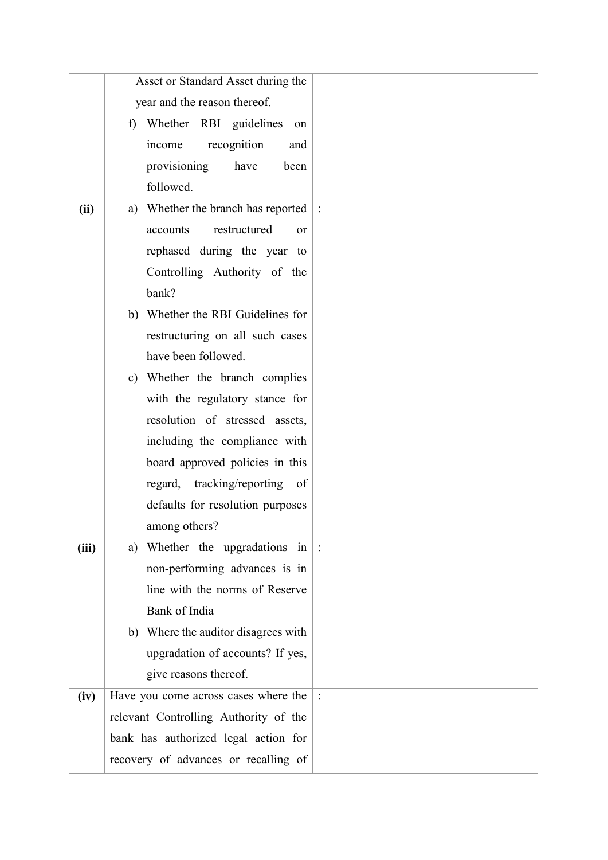|       | Asset or Standard Asset during the     |  |
|-------|----------------------------------------|--|
|       | year and the reason thereof.           |  |
|       | Whether RBI guidelines on<br>f)        |  |
|       | income<br>recognition<br>and           |  |
|       | provisioning<br>have<br>been           |  |
|       | followed.                              |  |
| (ii)  | a) Whether the branch has reported     |  |
|       | restructured<br>accounts<br><b>or</b>  |  |
|       | rephased during the year to            |  |
|       | Controlling Authority of the           |  |
|       | bank?                                  |  |
|       | b) Whether the RBI Guidelines for      |  |
|       | restructuring on all such cases        |  |
|       | have been followed.                    |  |
|       | c) Whether the branch complies         |  |
|       | with the regulatory stance for         |  |
|       | resolution of stressed assets,         |  |
|       | including the compliance with          |  |
|       | board approved policies in this        |  |
|       | regard, tracking/reporting<br>of       |  |
|       | defaults for resolution purposes       |  |
|       | among others?                          |  |
| (iii) | Whether the upgradations in $ :$<br>a) |  |
|       | non-performing advances is in          |  |
|       | line with the norms of Reserve         |  |
|       | Bank of India                          |  |
|       | b) Where the auditor disagrees with    |  |
|       | upgradation of accounts? If yes,       |  |
|       | give reasons thereof.                  |  |
| (iv)  | Have you come across cases where the   |  |
|       | relevant Controlling Authority of the  |  |
|       | bank has authorized legal action for   |  |
|       | recovery of advances or recalling of   |  |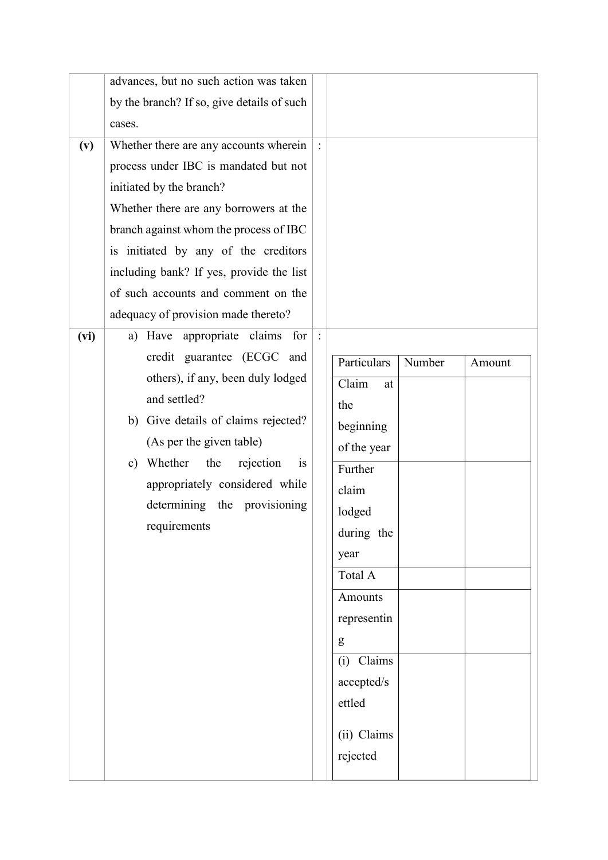|      | advances, but no such action was taken     |                                 |
|------|--------------------------------------------|---------------------------------|
|      | by the branch? If so, give details of such |                                 |
|      | cases.                                     |                                 |
| (v)  | Whether there are any accounts wherein     |                                 |
|      | process under IBC is mandated but not      |                                 |
|      | initiated by the branch?                   |                                 |
|      | Whether there are any borrowers at the     |                                 |
|      | branch against whom the process of IBC     |                                 |
|      | is initiated by any of the creditors       |                                 |
|      | including bank? If yes, provide the list   |                                 |
|      | of such accounts and comment on the        |                                 |
|      | adequacy of provision made thereto?        |                                 |
| (vi) | a) Have appropriate claims for             |                                 |
|      | credit guarantee (ECGC and                 | Particulars<br>Number<br>Amount |
|      | others), if any, been duly lodged          | Claim<br>at                     |
|      | and settled?                               | the                             |
|      | b) Give details of claims rejected?        | beginning                       |
|      | (As per the given table)                   | of the year                     |
|      | c) Whether<br>the<br>rejection<br>1S       | Further                         |
|      | appropriately considered while             | claim                           |
|      | determining the provisioning               | lodged                          |
|      | requirements                               | during the                      |
|      |                                            | year                            |
|      |                                            | Total A                         |
|      |                                            | Amounts                         |
|      |                                            | representin                     |
|      |                                            | g                               |
|      |                                            | $(i)$ Claims                    |
|      |                                            | accepted/s                      |
|      |                                            | ettled                          |
|      |                                            | (ii) Claims                     |
|      |                                            | rejected                        |
|      |                                            |                                 |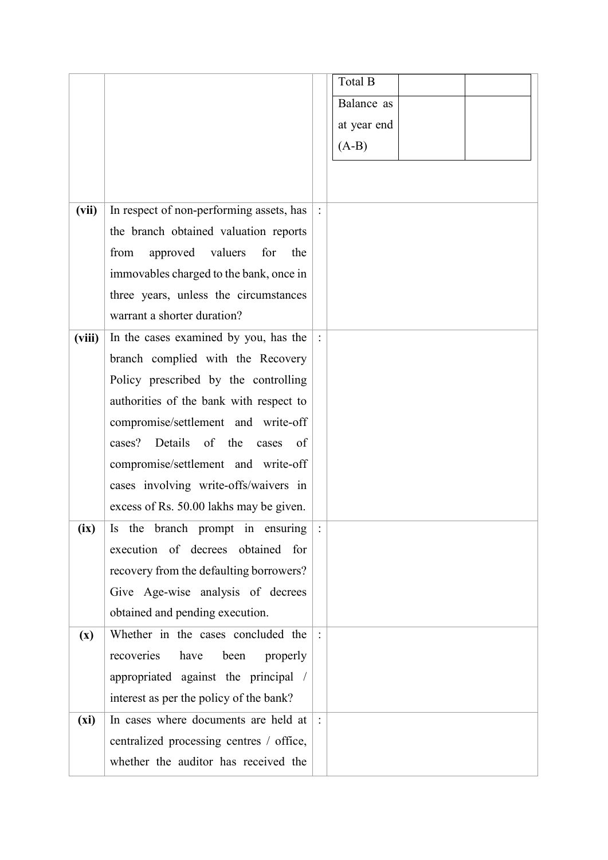|                |                                           |        | Total B     |  |
|----------------|-------------------------------------------|--------|-------------|--|
|                |                                           |        | Balance as  |  |
|                |                                           |        | at year end |  |
|                |                                           |        | $(A-B)$     |  |
|                |                                           |        |             |  |
|                |                                           |        |             |  |
| (vii)          | In respect of non-performing assets, has  |        |             |  |
|                | the branch obtained valuation reports     |        |             |  |
|                | approved<br>valuers<br>for<br>from<br>the |        |             |  |
|                | immovables charged to the bank, once in   |        |             |  |
|                | three years, unless the circumstances     |        |             |  |
|                | warrant a shorter duration?               |        |             |  |
| (viii)         | In the cases examined by you, has the     | $\div$ |             |  |
|                | branch complied with the Recovery         |        |             |  |
|                | Policy prescribed by the controlling      |        |             |  |
|                | authorities of the bank with respect to   |        |             |  |
|                | compromise/settlement and write-off       |        |             |  |
|                | cases? Details of the cases of            |        |             |  |
|                | compromise/settlement and write-off       |        |             |  |
|                | cases involving write-offs/waivers in     |        |             |  |
|                | excess of Rs. 50.00 lakhs may be given.   |        |             |  |
| (ix)           | Is the branch prompt in ensuring $ $ :    |        |             |  |
|                | execution of decrees obtained for         |        |             |  |
|                | recovery from the defaulting borrowers?   |        |             |  |
|                | Give Age-wise analysis of decrees         |        |             |  |
|                | obtained and pending execution.           |        |             |  |
| $(\mathbf{x})$ | Whether in the cases concluded the        |        |             |  |
|                | recoveries<br>have<br>been<br>properly    |        |             |  |
|                | appropriated against the principal /      |        |             |  |
|                | interest as per the policy of the bank?   |        |             |  |
| (xi)           | In cases where documents are held at      |        |             |  |
|                | centralized processing centres / office,  |        |             |  |
|                | whether the auditor has received the      |        |             |  |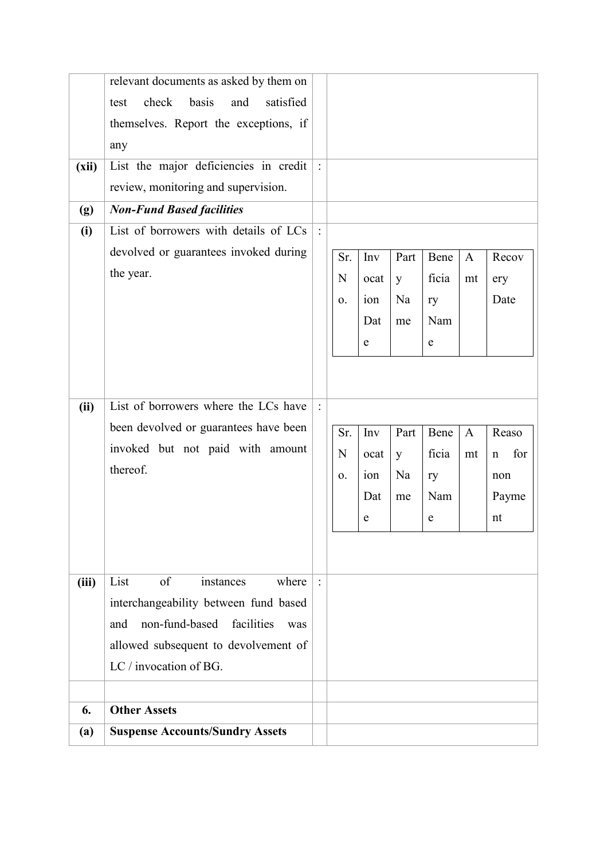|       | relevant documents as asked by them on     |                |     |      |      |       |              |                    |
|-------|--------------------------------------------|----------------|-----|------|------|-------|--------------|--------------------|
|       | check<br>satisfied<br>basis<br>and<br>test |                |     |      |      |       |              |                    |
|       | themselves. Report the exceptions, if      |                |     |      |      |       |              |                    |
|       | any                                        |                |     |      |      |       |              |                    |
| (xii) | List the major deficiencies in credit      |                |     |      |      |       |              |                    |
|       | review, monitoring and supervision.        |                |     |      |      |       |              |                    |
| (g)   | <b>Non-Fund Based facilities</b>           |                |     |      |      |       |              |                    |
| (i)   | List of borrowers with details of LCs      | $\ddot{\cdot}$ |     |      |      |       |              |                    |
|       | devolved or guarantees invoked during      |                | Sr. | Inv  | Part | Bene  | $\mathbf{A}$ | Recov              |
|       | the year.                                  |                | N   | ocat | y    | ficia | mt           | ery                |
|       |                                            |                | 0.  | ion  | Na   | ry    |              | Date               |
|       |                                            |                |     | Dat  | me   | Nam   |              |                    |
|       |                                            |                |     | e    |      | e     |              |                    |
|       |                                            |                |     |      |      |       |              |                    |
|       |                                            |                |     |      |      |       |              |                    |
| (ii)  | List of borrowers where the LCs have       | $\ddot{\cdot}$ |     |      |      |       |              |                    |
|       | been devolved or guarantees have been      |                | Sr. | Inv  | Part | Bene  | $\mathbf{A}$ | Reaso              |
|       | invoked but not paid with amount           |                | N   | ocat | y    | ficia | mt           | for<br>$\mathbf n$ |
|       | thereof.                                   |                | 0.  | ion  | Na   | ry    |              | non                |
|       |                                            |                |     | Dat  | me   | Nam   |              | Payme              |
|       |                                            |                |     | e    |      | e     |              | nt                 |
|       |                                            |                |     |      |      |       |              |                    |
|       |                                            |                |     |      |      |       |              |                    |
| (iii) | List<br>of<br>where<br>instances           | $\ddot{\cdot}$ |     |      |      |       |              |                    |
|       | interchangeability between fund based      |                |     |      |      |       |              |                    |
|       | facilities<br>and<br>non-fund-based<br>was |                |     |      |      |       |              |                    |
|       | allowed subsequent to devolvement of       |                |     |      |      |       |              |                    |
|       | LC / invocation of BG.                     |                |     |      |      |       |              |                    |
|       |                                            |                |     |      |      |       |              |                    |
| 6.    | <b>Other Assets</b>                        |                |     |      |      |       |              |                    |
| (a)   | <b>Suspense Accounts/Sundry Assets</b>     |                |     |      |      |       |              |                    |